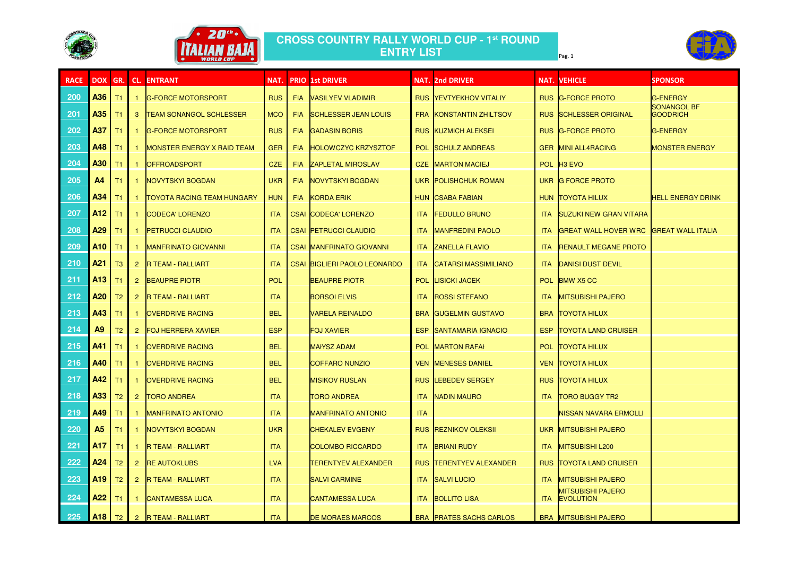



## **CROSS COUNTRY RALLY WORLD CUP - 1st ROUND ENTRY LIST**Pag. 1 **Page.** 1

| <b>RACE</b> | <b>DOX</b>      | GR.            |              | <b>CL. ENTRANT</b>                | NAT.       |            | <b>PRIO 1st DRIVER</b>              |            | <b>NAT. 2nd DRIVER</b>         |            | <b>NAT. VEHICLE</b>                          | <b>SPONSOR</b>                 |
|-------------|-----------------|----------------|--------------|-----------------------------------|------------|------------|-------------------------------------|------------|--------------------------------|------------|----------------------------------------------|--------------------------------|
| 200         | A36             | T1             |              | <b>G-FORCE MOTORSPORT</b>         | <b>RUS</b> |            | <b>FIA VASILYEV VLADIMIR</b>        |            | <b>RUS YEVTYEKHOV VITALIY</b>  |            | RUS G-FORCE PROTO                            | <b>G-ENERGY</b>                |
| 201         | A35             | Τ1             | 3            | <b>TEAM SONANGOL SCHLESSER</b>    | <b>MCO</b> | <b>FIA</b> | <b>SCHLESSER JEAN LOUIS</b>         |            | FRA KONSTANTIN ZHILTSOV        |            | <b>RUS SCHLESSER ORIGINAL</b>                | SONANGOL BF<br><b>GOODRICH</b> |
| 202         | A37             | T1             |              | <b>G-FORCE MOTORSPORT</b>         | <b>RUS</b> | <b>FIA</b> | <b>GADASIN BORIS</b>                |            | <b>RUS KUZMICH ALEKSEI</b>     |            | RUS G-FORCE PROTO                            | <b>G-ENERGY</b>                |
| 203         | A48             | T1             |              | <b>MONSTER ENERGY X RAID TEAM</b> | <b>GER</b> | <b>FIA</b> | <b>HOLOWCZYC KRZYSZTOF</b>          |            | POL SCHULZ ANDREAS             |            | <b>GER MINI ALL4RACING</b>                   | <b>MONSTER ENERGY</b>          |
| 204         | <b>A30</b>      | T1             |              | <b>OFFROADSPORT</b>               | <b>CZE</b> | <b>FIA</b> | <b>ZAPLETAL MIROSLAV</b>            |            | <b>CZE MARTON MACIEJ</b>       |            | POL H3 EVO                                   |                                |
| 205         | A <sub>4</sub>  | T1             |              | <b>NOVYTSKYI BOGDAN</b>           | <b>UKR</b> | <b>FIA</b> | NOVYTSKYI BOGDAN                    |            | UKR POLISHCHUK ROMAN           |            | UKR G FORCE PROTO                            |                                |
| 206         | A34             |                |              | <b>TOYOTA RACING TEAM HUNGARY</b> | <b>HUN</b> |            | <b>FIA KORDA ERIK</b>               |            | <b>HUN CSABA FABIAN</b>        |            | HUN TOYOTA HILUX                             | <b>HELL ENERGY DRINK</b>       |
| 207         | A12             | T1             |              | <b>CODECA' LORENZO</b>            | <b>ITA</b> |            | <b>CSAI CODECA' LORENZO</b>         | <b>ITA</b> | <b>FEDULLO BRUNO</b>           | <b>ITA</b> | <b>SUZUKI NEW GRAN VITARA</b>                |                                |
| 208         | A <sub>29</sub> | T1             |              | <b>PETRUCCI CLAUDIO</b>           | <b>ITA</b> |            | <b>CSAI PETRUCCI CLAUDIO</b>        | <b>ITA</b> | <b>MANFREDINI PAOLO</b>        | <b>ITA</b> | GREAT WALL HOVER WRC GREAT WALL ITALIA       |                                |
| 209         | <b>A10</b>      | T1             |              | MANFRINATO GIOVANNI               | <b>ITA</b> |            | <b>CSAI MANFRINATO GIOVANNI</b>     | <b>ITA</b> | <b>ZANELLA FLAVIO</b>          | <b>ITA</b> | <b>RENAULT MEGANE PROTO</b>                  |                                |
| 210         | A <sub>21</sub> | T <sub>3</sub> | $\mathbf{2}$ | <b>R TEAM - RALLIART</b>          | <b>ITA</b> |            | <b>CSAI BIGLIERI PAOLO LEONARDO</b> | <b>ITA</b> | <b>CATARSI MASSIMILIANO</b>    | <b>ITA</b> | <b>DANISI DUST DEVIL</b>                     |                                |
| 211         | A13             | T1             | 2            | <b>BEAUPRE PIOTR</b>              | POL        |            | <b>BEAUPRE PIOTR</b>                | POL.       | <b>LISICKI JACEK</b>           |            | POL BMW X5 CC                                |                                |
| 212         | A <sub>20</sub> | T <sub>2</sub> | $\mathbf{2}$ | <b>R TEAM - RALLIART</b>          | <b>ITA</b> |            | <b>BORSOI ELVIS</b>                 | <b>ITA</b> | <b>ROSSI STEFANO</b>           | <b>ITA</b> | <b>MITSUBISHI PAJERO</b>                     |                                |
| 213         | A43             | T1             |              | <b>OVERDRIVE RACING</b>           | <b>BEL</b> |            | <b>VARELA REINALDO</b>              | <b>BRA</b> | <b>GUGELMIN GUSTAVO</b>        |            | <b>BRA TOYOTA HILUX</b>                      |                                |
| 214         | A <sub>9</sub>  | T <sub>2</sub> | 2            | <b>FOJ HERRERA XAVIER</b>         | <b>ESP</b> |            | <b>FOJ XAVIER</b>                   | ESP        | SANTAMARIA IGNACIO             | ESP        | <b>TOYOTA LAND CRUISER</b>                   |                                |
| 215         | A41             | Τ1             |              | <b>OVERDRIVE RACING</b>           | <b>BEL</b> |            | <b>MAIYSZ ADAM</b>                  | POL        | <b>MARTON RAFA</b>             |            | POL TOYOTA HILUX                             |                                |
| 216         | <b>A40</b> T1   |                |              | <b>OVERDRIVE RACING</b>           | <b>BEL</b> |            | <b>COFFARO NUNZIO</b>               |            | <b>VEN MENESES DANIEL</b>      |            | <b>VEN TOYOTA HILUX</b>                      |                                |
| 217         | A42             | T1             |              | <b>OVERDRIVE RACING</b>           | <b>BEL</b> |            | <b>MISIKOV RUSLAN</b>               |            | <b>RUS LEBEDEV SERGEY</b>      |            | <b>RUS TOYOTA HILUX</b>                      |                                |
| 218         | A33             | T2             | $\mathbf{2}$ | <b>TORO ANDREA</b>                | <b>ITA</b> |            | <b>TORO ANDREA</b>                  | <b>ITA</b> | NADIN MAURO                    | ITA.       | <b>TORO BUGGY TR2</b>                        |                                |
| 219         | <b>A49</b>      | T <sub>1</sub> |              | <b>MANFRINATO ANTONIO</b>         | <b>ITA</b> |            | <b>MANFRINATO ANTONIO</b>           | <b>ITA</b> |                                |            | <b>NISSAN NAVARA ERMOLLI</b>                 |                                |
| 220         | A <sub>5</sub>  | Τ1             |              | NOVYTSKYI BOGDAN                  | <b>UKR</b> |            | <b>CHEKALEV EVGENY</b>              |            | <b>RUS REZNIKOV OLEKSII</b>    |            | UKR MITSUBISHI PAJERO                        |                                |
| 221         | <b>A17</b>      | T <sub>1</sub> |              | <b>R TEAM - RALLIART</b>          | <b>ITA</b> |            | <b>COLOMBO RICCARDO</b>             |            | <b>ITA BRIANI RUDY</b>         | ITA.       | <b>MITSUBISHI L200</b>                       |                                |
| 222         | <b>A24</b>      | T2             |              | 2 <b>RE AUTOKLUBS</b>             | <b>LVA</b> |            | <b>TERENTYEV ALEXANDER</b>          |            | <b>RUS TERENTYEV ALEXANDER</b> |            | <b>RUS TOYOTA LAND CRUISER</b>               |                                |
| 223         | <b>A19</b>      | T2             |              | 2 R TEAM - RALLIART               | <b>ITA</b> |            | <b>SALVI CARMINE</b>                |            | <b>ITA SALVI LUCIO</b>         | ITA.       | <b>MITSUBISHI PAJERO</b>                     |                                |
| 224         | <b>A22</b>      | T1             |              | <b>CANTAMESSA LUCA</b>            | <b>ITA</b> |            | <b>CANTAMESSA LUCA</b>              | <b>ITA</b> | <b>BOLLITO LISA</b>            | <b>ITA</b> | <b>MITSUBISHI PAJERO</b><br><b>EVOLUTION</b> |                                |
| 225         | $ $ A18   T2    |                |              | 2 R TEAM - RALLIART               | <b>ITA</b> |            | <b>DE MORAES MARCOS</b>             |            | <b>BRA PRATES SACHS CARLOS</b> |            | <b>BRA</b> MITSUBISHI PAJERO                 |                                |

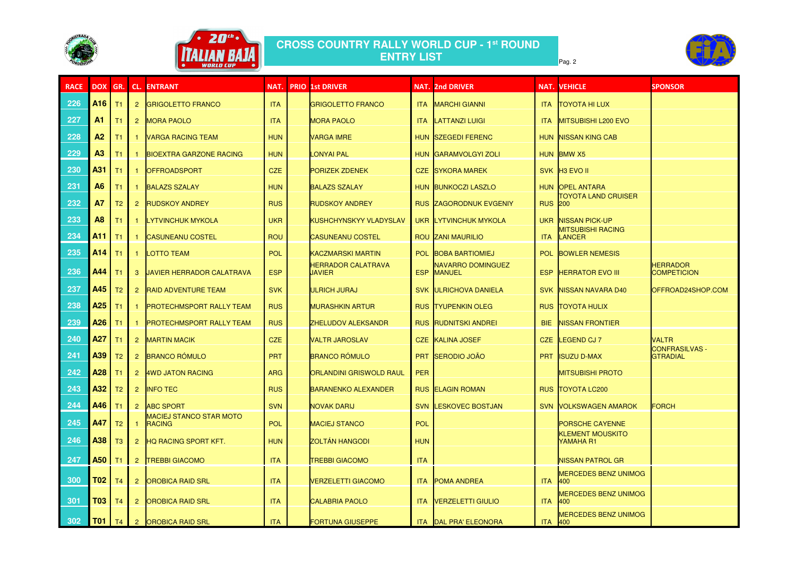



## **CROSS COUNTRY RALLY WORLD CUP - 1st ROUND ENTRY LIST**Pag. 2 من المسابق المسابق المسابق المسابق المسابق المسابق المسابق المسابق المسابق المسابق المسابق المسابق المس

| <b>RACE</b> | <b>DOX</b>                                                                                                                                                                                                                                                                                                                                                                                                                         | GR.            | CL.            | <b>ENTRANT</b>                                  | NAT.       | <b>PRIO 1st DRIVER</b>                     |            | <b>NAT. 2nd DRIVER</b>                    |                | <b>NAT. VEHICLE</b>                        | <b>SPONSOR</b>                           |
|-------------|------------------------------------------------------------------------------------------------------------------------------------------------------------------------------------------------------------------------------------------------------------------------------------------------------------------------------------------------------------------------------------------------------------------------------------|----------------|----------------|-------------------------------------------------|------------|--------------------------------------------|------------|-------------------------------------------|----------------|--------------------------------------------|------------------------------------------|
| 226         | A <sub>16</sub>                                                                                                                                                                                                                                                                                                                                                                                                                    | T1             | $\overline{2}$ | <b>GRIGOLETTO FRANCO</b>                        | <b>ITA</b> | <b>GRIGOLETTO FRANCO</b>                   |            | <b>ITA MARCHI GIANNI</b>                  | <b>ITA</b>     | <b>TOYOTA HI LUX</b>                       |                                          |
| 227         | A1                                                                                                                                                                                                                                                                                                                                                                                                                                 | T1             |                | 2 MORA PAOLO                                    | <b>ITA</b> | <b>MORA PAOLO</b>                          |            | <b>ITA LATTANZI LUIGI</b>                 | <b>ITA</b>     | <b>MITSUBISHI L200 EVO</b>                 |                                          |
| 228         | A2                                                                                                                                                                                                                                                                                                                                                                                                                                 | T1             |                | <b>VARGA RACING TEAM</b>                        | <b>HUN</b> | <b>VARGA IMRE</b>                          |            | HUN SZEGEDI FERENC                        |                | HUN NISSAN KING CAB                        |                                          |
| 229         | A3                                                                                                                                                                                                                                                                                                                                                                                                                                 | T1             |                | <b>BIOEXTRA GARZONE RACING</b>                  | <b>HUN</b> | <b>LONYAI PAL</b>                          |            | HUN GARAMVOLGYI ZOLI                      |                | HUN BMW X5                                 |                                          |
| 230         | A31                                                                                                                                                                                                                                                                                                                                                                                                                                | T1             |                | <b>OFFROADSPORT</b>                             | <b>CZE</b> | <b>PORIZEK ZDENEK</b>                      |            | <b>CZE SYKORA MAREK</b>                   |                | SVK H3 EVO II                              |                                          |
| 231         | <b>A6</b>                                                                                                                                                                                                                                                                                                                                                                                                                          | T1             |                | <b>BALAZS SZALAY</b>                            | <b>HUN</b> | <b>BALAZS SZALAY</b>                       |            | HUN BUNKOCZI LASZLO                       |                | HUN OPEL ANTARA                            |                                          |
| 232         | <b>A7</b>                                                                                                                                                                                                                                                                                                                                                                                                                          | T <sub>2</sub> | $\overline{2}$ | <b>RUDSKOY ANDREY</b>                           | <b>RUS</b> | <b>RUDSKOY ANDREY</b>                      |            | <b>RUS ZAGORODNUK EVGENIY</b>             | <b>RUS 200</b> | <b>TOYOTA LAND CRUISER</b>                 |                                          |
| 233         | A <sub>8</sub>                                                                                                                                                                                                                                                                                                                                                                                                                     | T1             |                | <b>LYTVINCHUK MYKOLA</b>                        | <b>UKR</b> | <b>KUSHCHYNSKYY VLADYSLAV</b>              |            | UKR LYTVINCHUK MYKOLA                     | <b>UKR</b>     | <b>NISSAN PICK-UP</b>                      |                                          |
| 234         | <b>A11</b>                                                                                                                                                                                                                                                                                                                                                                                                                         | $\vert$ T1     |                | <b>CASUNEANU COSTEL</b>                         | <b>ROU</b> | <b>CASUNEANU COSTEL</b>                    |            | <b>ROU ZANI MAURILIO</b>                  | <b>ITA</b>     | <b>MITSUBISHI RACING</b><br>LANCER         |                                          |
| 235         | $A14$ $T1$                                                                                                                                                                                                                                                                                                                                                                                                                         |                |                | LOTTO TEAM                                      | POL        | <b>KACZMARSKI MARTIN</b>                   |            | POL BOBA BARTIOMIEJ                       | <b>POL</b>     | <b>BOWLER NEMESIS</b>                      |                                          |
| 236         | A44                                                                                                                                                                                                                                                                                                                                                                                                                                | T1             | $\mathbf{3}$   | <b>JAVIER HERRADOR CALATRAVA</b>                | <b>ESP</b> | <b>HERRADOR CALATRAVA</b><br><b>JAVIER</b> | <b>ESP</b> | <b>NAVARRO DOMINGUEZ</b><br><b>MANUEL</b> | <b>ESP</b>     | <b>HERRATOR EVO III</b>                    | <b>HERRADOR</b><br><b>COMPETICION</b>    |
| 237         | A45                                                                                                                                                                                                                                                                                                                                                                                                                                | T <sub>2</sub> | $\mathbf{2}$   | <b>RAID ADVENTURE TEAM</b>                      | <b>SVK</b> | ULRICH JURAJ                               |            | <b>SVK ULRICHOVA DANIELA</b>              | <b>SVK</b>     | <b>NISSAN NAVARA D40</b>                   | OFFROAD24SHOP.COM                        |
| 238         | A <sub>25</sub>                                                                                                                                                                                                                                                                                                                                                                                                                    | T1             |                | <b>PROTECHMSPORT RALLY TEAM</b>                 | <b>RUS</b> | <b>MURASHKIN ARTUR</b>                     |            | <b>RUS TYUPENKIN OLEG</b>                 | <b>RUS</b>     | <b>TOYOTA HULIX</b>                        |                                          |
| 239         | A26                                                                                                                                                                                                                                                                                                                                                                                                                                | T1             |                | <b>PROTECHMSPORT RALLY TEAM</b>                 | <b>RUS</b> | <b>ZHELUDOV ALEKSANDR</b>                  |            | <b>RUS RUDNITSKI ANDREI</b>               | <b>BIE</b>     | <b>NISSAN FRONTIER</b>                     |                                          |
| 240         | A27                                                                                                                                                                                                                                                                                                                                                                                                                                | T1             | $\mathbf{2}$   | <b>MARTIN MACIK</b>                             | <b>CZE</b> | <b>VALTR JAROSLAV</b>                      |            | CZE KALINA JOSEF                          | <b>CZE</b>     | LEGEND CJ 7                                | <b>VALTR</b>                             |
| 241         | A39                                                                                                                                                                                                                                                                                                                                                                                                                                | T <sub>2</sub> | $\overline{2}$ | <b>BRANCO RÓMULO</b>                            | <b>PRT</b> | <b>BRANCO RÓMULO</b>                       | <b>PRT</b> | SERODIO JOÃO                              | <b>PRT</b>     | <b>ISUZU D-MAX</b>                         | <b>CONFRASILVAS -</b><br><b>GTRADIAL</b> |
| 242         | <b>A28</b> T1                                                                                                                                                                                                                                                                                                                                                                                                                      |                |                | 2 4WD JATON RACING                              | <b>ARG</b> | <b>ORLANDINI GRISWOLD RAUL</b>             | <b>PER</b> |                                           |                | <b>MITSUBISHI PROTO</b>                    |                                          |
| 243         | $\left  \right $ $\left  \right $ $\left  \right $ $\left  \right $ $\left  \right $ $\left  \right $ $\left  \right $ $\left  \right $ $\left  \right $ $\left  \right $ $\left  \right $ $\left  \right $ $\left  \right $ $\left  \right $ $\left  \right $ $\left  \right $ $\left  \right $ $\left  \right $ $\left  \right $ $\left  \right $ $\left  \right $ $\left  \right $ $\left  \right $ $\left  \right $ $\left  \$ |                |                | 2  INFO TEC                                     | <b>RUS</b> | <b>BARANENKO ALEXANDER</b>                 |            | <b>RUS ELAGIN ROMAN</b>                   |                | <b>RUS TOYOTA LC200</b>                    |                                          |
| 244         | <b>A46</b> T1                                                                                                                                                                                                                                                                                                                                                                                                                      |                |                | 2 ABC SPORT                                     | <b>SVN</b> | <b>NOVAK DARIJ</b>                         |            | <b>SVN LESKOVEC BOSTJAN</b>               |                | <b>SVN VOLKSWAGEN AMAROK</b>               | <b>FORCH</b>                             |
| 245         | <b>A47</b>                                                                                                                                                                                                                                                                                                                                                                                                                         | T2             |                | <b>MACIEJ STANCO STAR MOTO</b><br><b>RACING</b> | <b>POL</b> | <b>MACIEJ STANCO</b>                       | <b>POL</b> |                                           |                | <b>PORSCHE CAYENNE</b>                     |                                          |
| 246         | <b>A38</b> T3                                                                                                                                                                                                                                                                                                                                                                                                                      |                |                | 2 HQ RACING SPORT KFT.                          | <b>HUN</b> | <b>ZOLTÁN HANGODI</b>                      | <b>HUN</b> |                                           |                | <b>KLEMENT MOUSKITO</b><br>YAMAHA R1       |                                          |
| 247         | <b>A50</b> T1                                                                                                                                                                                                                                                                                                                                                                                                                      |                | $\mathbf{2}$   | <b>TREBBI GIACOMO</b>                           | <b>ITA</b> | <b>TREBBI GIACOMO</b>                      | <b>ITA</b> |                                           |                | <b>NISSAN PATROL GR</b>                    |                                          |
| 300         | T02 T <sub>4</sub>                                                                                                                                                                                                                                                                                                                                                                                                                 |                | $\overline{2}$ | <b>OROBICA RAID SRL</b>                         | <b>ITA</b> | <b>VERZELETTI GIACOMO</b>                  |            | <b>ITA POMA ANDREA</b>                    | <b>ITA</b>     | <b>MERCEDES BENZ UNIMOG</b><br><b>1400</b> |                                          |
| 301         | T03 T <sub>4</sub>                                                                                                                                                                                                                                                                                                                                                                                                                 |                | 2 <sup>2</sup> | <b>OROBICA RAID SRL</b>                         | <b>ITA</b> | <b>CALABRIA PAOLO</b>                      |            | <b>ITA VERZELETTI GIULIO</b>              | <b>ITA</b>     | <b>MERCEDES BENZ UNIMOG</b><br>400         |                                          |
| 302         | <b>T01</b>   T4                                                                                                                                                                                                                                                                                                                                                                                                                    |                |                | 2 OROBICA RAID SRL                              | <b>ITA</b> | <b>FORTUNA GIUSEPPE</b>                    |            | ITA DAL PRA' ELEONORA                     | <b>ITA</b> 400 | <b>MERCEDES BENZ UNIMOG</b>                |                                          |